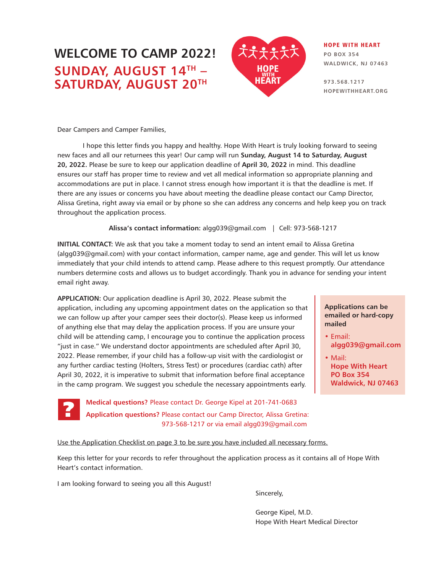## **WELCOME TO CAMP 2022! SUNDAY, AUGUST 14TH – SATURDAY, AUGUST 20TH**



#### HOPE WITH HEART **PO BOX 354**

**WALDWICK, NJ 07463**

**973.568.1217 HOPEWITHHEART.ORG**

Dear Campers and Camper Families,

I hope this letter finds you happy and healthy. Hope With Heart is truly looking forward to seeing new faces and all our returnees this year! Our camp will run **Sunday, August 14 to Saturday, August 20, 2022.** Please be sure to keep our application deadline of **April 30, 2022** in mind. This deadline ensures our staff has proper time to review and vet all medical information so appropriate planning and accommodations are put in place. I cannot stress enough how important it is that the deadline is met. If there are any issues or concerns you have about meeting the deadline please contact our Camp Director, Alissa Gretina, right away via email or by phone so she can address any concerns and help keep you on track throughout the application process.

**Alissa's contact information:** algg039@gmail.com | Cell: 973-568-1217

**INITIAL CONTACT:** We ask that you take a moment today to send an intent email to Alissa Gretina (algg039@gmail.com) with your contact information, camper name, age and gender. This will let us know immediately that your child intends to attend camp. Please adhere to this request promptly. Our attendance numbers determine costs and allows us to budget accordingly. Thank you in advance for sending your intent email right away.

**APPLICATION:** Our application deadline is April 30, 2022. Please submit the application, including any upcoming appointment dates on the application so that we can follow up after your camper sees their doctor(s). Please keep us informed of anything else that may delay the application process. If you are unsure your child will be attending camp, I encourage you to continue the application process "just in case." We understand doctor appointments are scheduled after April 30, 2022. Please remember, if your child has a follow-up visit with the cardiologist or any further cardiac testing (Holters, Stress Test) or procedures (cardiac cath) after April 30, 2022, it is imperative to submit that information before final acceptance in the camp program. We suggest you schedule the necessary appointments early.

> **Medical questions?** Please contact Dr. George Kipel at 201-741-0683 **Application questions?** Please contact our Camp Director, Alissa Gretina: 973-568-1217 or via email algg039@gmail.com

#### **Applications can be emailed or hard-copy mailed**

- **•** Email: **algg039@gmail.com**
- Mail: **Hope With Heart PO Box 354 Waldwick, NJ 07463**

Use the Application Checklist on page 3 to be sure you have included all necessary forms.

Keep this letter for your records to refer throughout the application process as it contains all of Hope With Heart's contact information.

I am looking forward to seeing you all this August!

?

Sincerely,

George Kipel, M.D. Hope With Heart Medical Director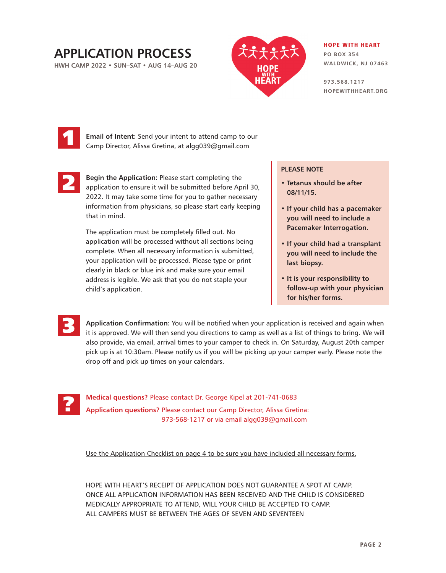## **APPLICATION PROCESS**

**HWH CAMP 2022 • SUN–SAT • AUG 14–AUG 20**



#### HOPE WITH HEART

**PO BOX 354 WALDWICK, NJ 07463**

**973.568.1217 HOPEWITHHEART.ORG**



**Email of Intent:** Send your intent to attend camp to our Camp Director, Alissa Gretina, at algg039@gmail.com



**Begin the Application:** Please start completing the application to ensure it will be submitted before April 30, 2022. It may take some time for you to gather necessary information from physicians, so please start early keeping that in mind.

The application must be completely filled out. No application will be processed without all sections being complete. When all necessary information is submitted, your application will be processed. Please type or print clearly in black or blue ink and make sure your email address is legible. We ask that you do not staple your child's application.

#### **PLEASE NOTE**

- **Tetanus should be after 08/11/15.**
- **If your child has a pacemaker you will need to include a Pacemaker Interrogation.**
- **If your child had a transplant you will need to include the last biopsy.**
- **It is your responsibility to follow-up with your physician for his/her forms.**

**Application Confirmation:** You will be notified when your application is received and again when it is approved. We will then send you directions to camp as well as a list of things to bring. We will also provide, via email, arrival times to your camper to check in. On Saturday, August 20th camper pick up is at 10:30am. Please notify us if you will be picking up your camper early. Please note the drop off and pick up times on your calendars.



3

**Medical questions?** Please contact Dr. George Kipel at 201-741-0683 **Application questions?** Please contact our Camp Director, Alissa Gretina: 973-568-1217 or via email algg039@gmail.com

Use the Application Checklist on page 4 to be sure you have included all necessary forms.

HOPE WITH HEART'S RECEIPT OF APPLICATION DOES NOT GUARANTEE A SPOT AT CAMP. ONCE ALL APPLICATION INFORMATION HAS BEEN RECEIVED AND THE CHILD IS CONSIDERED MEDICALLY APPROPRIATE TO ATTEND, WILL YOUR CHILD BE ACCEPTED TO CAMP. ALL CAMPERS MUST BE BETWEEN THE AGES OF SEVEN AND SEVENTEEN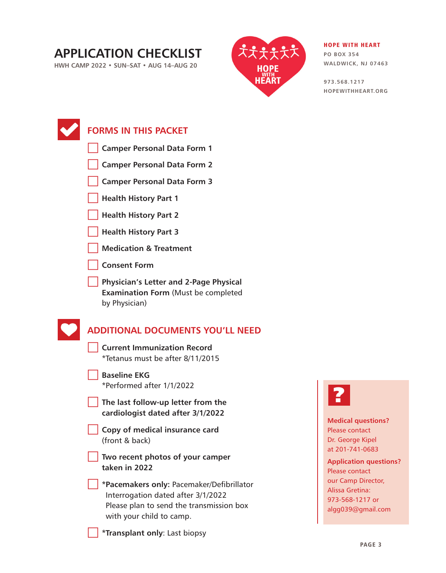## **APPLICATION CHECKLIST**

**HWH CAMP 2022 • SUN–SAT • AUG 14–AUG 20**



#### HOPE WITH HEART

**PO BOX 354 WALDWICK, NJ 07463**

**973.568.1217 HOPEWITHHEART.ORG**

| <b>FORMS IN THIS PACKET</b>                                                                                                                             |                                                                               |
|---------------------------------------------------------------------------------------------------------------------------------------------------------|-------------------------------------------------------------------------------|
| <b>Camper Personal Data Form 1</b>                                                                                                                      |                                                                               |
| <b>Camper Personal Data Form 2</b>                                                                                                                      |                                                                               |
| <b>Camper Personal Data Form 3</b>                                                                                                                      |                                                                               |
| <b>Health History Part 1</b>                                                                                                                            |                                                                               |
| <b>Health History Part 2</b>                                                                                                                            |                                                                               |
| <b>Health History Part 3</b>                                                                                                                            |                                                                               |
| <b>Medication &amp; Treatment</b>                                                                                                                       |                                                                               |
| <b>Consent Form</b>                                                                                                                                     |                                                                               |
| <b>Physician's Letter and 2-Page Physical</b><br><b>Examination Form (Must be completed</b><br>by Physician)                                            |                                                                               |
| <b>ADDITIONAL DOCUMENTS YOU'LL NEED</b><br><b>Current Immunization Record</b><br>*Tetanus must be after 8/11/2015                                       |                                                                               |
| <b>Baseline EKG</b><br>*Performed after 1/1/2022                                                                                                        |                                                                               |
| The last follow-up letter from the<br>cardiologist dated after 3/1/2022                                                                                 |                                                                               |
| Copy of medical insurance card<br>(front & back)                                                                                                        | <b>Medical questions?</b><br>Please contact<br>Dr. George Kipel               |
| Two recent photos of your camper<br>taken in 2022                                                                                                       | at 201-741-0683<br><b>Application questions?</b><br>Please contact            |
| *Pacemakers only: Pacemaker/Defibrillator<br>Interrogation dated after 3/1/2022<br>Please plan to send the transmission box<br>with your child to camp. | our Camp Director,<br>Alissa Gretina:<br>973-568-1217 or<br>algg039@gmail.com |
| <i>*Transplant only: Last biopsy</i>                                                                                                                    |                                                                               |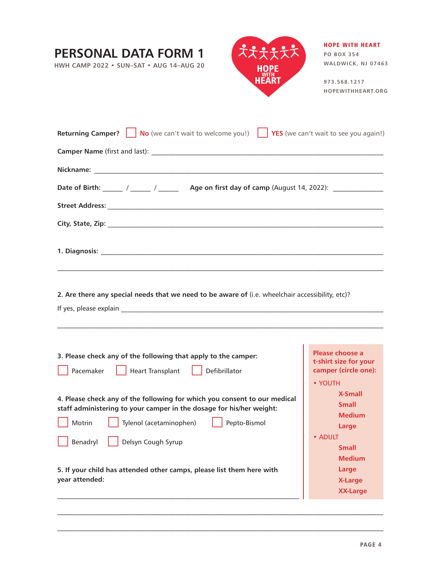| PERSONAL DATA FORM 1<br>HWH CAMP 2022 · SUN-SAT · AUG 14-AUG 20                                                                                                                                                                          | <b>HOPE WITH HEART</b><br><b>PO BOX 354</b><br>WALDWICK, NJ 07463<br>973.568.1217<br>HOPEWITHHEART.ORG |
|------------------------------------------------------------------------------------------------------------------------------------------------------------------------------------------------------------------------------------------|--------------------------------------------------------------------------------------------------------|
| $\vert$ No (we can't wait to welcome you!) $\vert$ YES (we can't wait to see you again!)<br><b>Returning Camper?</b><br>Date of Birth: ______ / _____ / _____ Age on first day of camp (August 14, 2022): ______________                 |                                                                                                        |
|                                                                                                                                                                                                                                          |                                                                                                        |
| ,我们也不能在这里的人,我们也不能在这里的人,我们也不能在这里的人,我们也不能在这里的人,我们也不能在这里的人,我们也不能在这里的人,我们也不能在这里的人,我们也                                                                                                                                                        |                                                                                                        |
| 2. Are there any special needs that we need to be aware of (i.e. wheelchair accessibility, etc)?                                                                                                                                         |                                                                                                        |
| 3. Please check any of the following that apply to the camper:<br>Defibrillator<br>Pacemaker<br><b>Heart Transplant</b>                                                                                                                  | Please choose a<br>t-shirt size for your<br>camper (circle one):<br>• YOUTH                            |
| 4. Please check any of the following for which you consent to our medical<br>staff administering to your camper in the dosage for his/her weight:<br>Motrin<br>Tylenol (acetaminophen)<br>Pepto-Bismol<br>Benadryl<br>Delsyn Cough Syrup | <b>X-Small</b><br><b>Small</b><br><b>Medium</b><br>Large<br>• ADULT<br>Small<br><b>Medium</b>          |
| 5. If your child has attended other camps, please list them here with<br>year attended:                                                                                                                                                  | Large<br><b>X-Large</b><br><b>XX-Large</b>                                                             |

 $\mathcal{L}_\mathcal{L} = \{ \mathcal{L}_\mathcal{L} = \{ \mathcal{L}_\mathcal{L} = \{ \mathcal{L}_\mathcal{L} = \{ \mathcal{L}_\mathcal{L} = \{ \mathcal{L}_\mathcal{L} = \{ \mathcal{L}_\mathcal{L} = \{ \mathcal{L}_\mathcal{L} = \{ \mathcal{L}_\mathcal{L} = \{ \mathcal{L}_\mathcal{L} = \{ \mathcal{L}_\mathcal{L} = \{ \mathcal{L}_\mathcal{L} = \{ \mathcal{L}_\mathcal{L} = \{ \mathcal{L}_\mathcal{L} = \{ \mathcal{L}_\mathcal{$ 

 $\mathcal{L}_\mathcal{L} = \{ \mathcal{L}_\mathcal{L} = \{ \mathcal{L}_\mathcal{L} = \{ \mathcal{L}_\mathcal{L} = \{ \mathcal{L}_\mathcal{L} = \{ \mathcal{L}_\mathcal{L} = \{ \mathcal{L}_\mathcal{L} = \{ \mathcal{L}_\mathcal{L} = \{ \mathcal{L}_\mathcal{L} = \{ \mathcal{L}_\mathcal{L} = \{ \mathcal{L}_\mathcal{L} = \{ \mathcal{L}_\mathcal{L} = \{ \mathcal{L}_\mathcal{L} = \{ \mathcal{L}_\mathcal{L} = \{ \mathcal{L}_\mathcal{$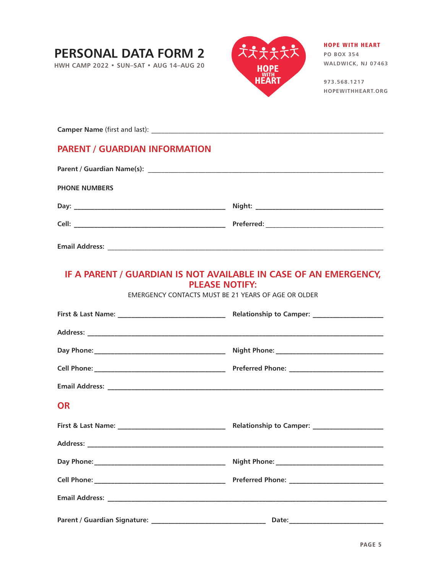# **PERSONAL DATA FORM 2**

**HWH CAMP 2022 • SUN–SAT • AUG 14–AUG 20**



#### HOPE WITH HEART **PO BOX 354**

**WALDWICK, NJ 07463**

**973.568.1217 HOPEWITHHEART.ORG**

**Camper Name** (first and last): \_\_\_\_\_\_\_\_\_\_\_\_\_\_\_\_\_\_\_\_\_\_\_\_\_\_\_\_\_\_\_\_\_\_\_\_\_\_\_\_\_\_\_\_\_\_\_\_\_\_\_\_\_\_\_\_\_\_\_\_\_\_\_\_\_\_\_\_\_

### **PARENT / GUARDIAN INFORMATION**

| <b>PHONE NUMBERS</b> |  |  |  |
|----------------------|--|--|--|
|                      |  |  |  |
|                      |  |  |  |
|                      |  |  |  |

**Email Address:** \_\_\_\_\_\_\_\_\_\_\_\_\_\_\_\_\_\_\_\_\_\_\_\_\_\_\_\_\_\_\_\_\_\_\_\_\_\_\_\_\_\_\_\_\_\_\_\_\_\_\_\_\_\_\_\_\_\_\_\_\_\_\_\_\_\_\_\_\_\_\_\_\_\_\_\_\_\_\_\_\_\_

### **IF A PARENT / GUARDIAN IS NOT AVAILABLE IN CASE OF AN EMERGENCY, PLEASE NOTIFY:**

EMERGENCY CONTACTS MUST BE 21 YEARS OF AGE OR OLDER

| <b>OR</b> |  |  |
|-----------|--|--|
|           |  |  |
|           |  |  |
|           |  |  |
|           |  |  |
|           |  |  |
|           |  |  |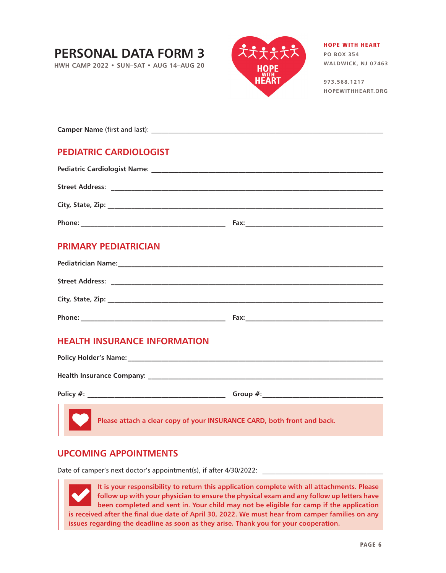# **PERSONAL DATA FORM 3**

**HWH CAMP 2022 • SUN–SAT • AUG 14–AUG 20**



## HOPE WITH HEART

**PO BOX 354 WALDWICK, NJ 07463**

**973.568.1217 HOPEWITHHEART.ORG**

**Camper Name** (first and last):

### **PEDIATRIC CARDIOLOGIST**

| <b>Street Address:</b> |      |  |  |
|------------------------|------|--|--|
|                        |      |  |  |
| Phone:                 | Fax: |  |  |

### **PRIMARY PEDIATRICIAN**

| <b>Pediatrician Name:</b> |      |  |
|---------------------------|------|--|
| <b>Street Address:</b>    |      |  |
| City, State, Zip:         |      |  |
| Phone:                    | Fax: |  |

### **HEALTH INSURANCE INFORMATION**

| Policy Holder's Name: Names                                                                                                                                                                                                          |             |  |  |
|--------------------------------------------------------------------------------------------------------------------------------------------------------------------------------------------------------------------------------------|-------------|--|--|
| <b>Health Insurance Company:</b>                                                                                                                                                                                                     |             |  |  |
| Policy $#$ :                                                                                                                                                                                                                         | Group $#$ : |  |  |
| <b>DESPITE SERVING PREASE ATTACK AND PLACE SERVING PREASE ATTACK PREASE PREASE PREASE PREASE PREASE PREASE PREASE PREASE PREASE PREASE PREASE PREASE PREASE PREASE PREASE PREASE PREASE PREASE PREASE PREASE PREASE PREASE PREAS</b> |             |  |  |

### **UPCOMING APPOINTMENTS**

Date of camper's next doctor's appointment(s), if after 4/30/2022:

**It is your responsibility to return this application complete with all attachments. Please follow up with your physician to ensure the physical exam and any follow up letters have been completed and sent in. Your child may not be eligible for camp if the application is received after the final due date of April 30, 2022. We must hear from camper families on any issues regarding the deadline as soon as they arise. Thank you for your cooperation.**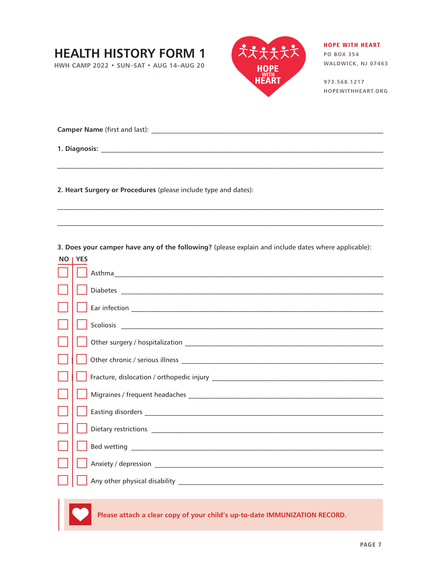## **HEALTH HISTORY FORM 1**

**HWH CAMP 2022 • SUN–SAT • AUG 14–AUG 20**



HOPE WITH HEART **PO BOX 354** 

**WALDWICK, NJ 07463**

**973.568.1217 HOPEWITHHEART.ORG**

**Camper Name** (first and last): \_\_\_\_\_\_\_\_\_\_\_\_\_\_\_\_\_\_\_\_\_\_\_\_\_\_\_\_\_\_\_\_\_\_\_\_\_\_\_\_\_\_\_\_\_\_\_\_\_\_\_\_\_\_\_\_\_\_\_\_\_\_\_\_\_\_\_\_\_

**1. Diagnosis:** \_\_\_\_\_\_\_\_\_\_\_\_\_\_\_\_\_\_\_\_\_\_\_\_\_\_\_\_\_\_\_\_\_\_\_\_\_\_\_\_\_\_\_\_\_\_\_\_\_\_\_\_\_\_\_\_\_\_\_\_\_\_\_\_\_\_\_\_\_\_\_\_\_\_\_\_\_\_\_\_\_\_\_\_

**2. Heart Surgery or Procedures** (please include type and dates):

**3. Does your camper have any of the following?** (please explain and include dates where applicable):

| NO I YES |
|----------|
|          |
|          |
|          |
|          |
|          |
|          |
|          |
|          |
|          |
|          |
|          |
|          |
|          |

**Please attach a clear copy of your child's up-to-date IMMUNIZATION RECORD.**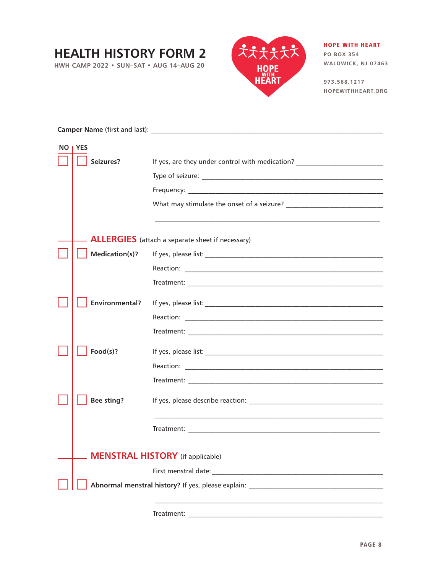## **HEALTH HISTORY FORM 2**

**HWH CAMP 2022 • SUN–SAT • AUG 14–AUG 20**



#### HOPE WITH HEART **PO BOX 354**

**WALDWICK, NJ 07463**

**973.568.1217 HOPEWITHHEART.ORG**

|  | NO   YES              |                                                                                                                       |  |
|--|-----------------------|-----------------------------------------------------------------------------------------------------------------------|--|
|  | Seizures?             | If yes, are they under control with medication? ________________________________                                      |  |
|  |                       |                                                                                                                       |  |
|  |                       |                                                                                                                       |  |
|  |                       |                                                                                                                       |  |
|  |                       | <u> 1989 - Johann Stoff, deutscher Stoff, der Stoff, der Stoff, der Stoff, der Stoff, der Stoff, der Stoff, der S</u> |  |
|  |                       | <b>ALLERGIES</b> (attach a separate sheet if necessary)                                                               |  |
|  | Medication(s)?        |                                                                                                                       |  |
|  |                       |                                                                                                                       |  |
|  |                       |                                                                                                                       |  |
|  | <b>Environmental?</b> |                                                                                                                       |  |
|  |                       |                                                                                                                       |  |
|  |                       |                                                                                                                       |  |
|  | Food(s)?              |                                                                                                                       |  |
|  |                       |                                                                                                                       |  |
|  |                       |                                                                                                                       |  |
|  | <b>Bee sting?</b>     |                                                                                                                       |  |
|  |                       |                                                                                                                       |  |
|  |                       | <b>MENSTRAL HISTORY</b> (if applicable)                                                                               |  |
|  |                       |                                                                                                                       |  |
|  |                       |                                                                                                                       |  |
|  |                       |                                                                                                                       |  |
|  |                       |                                                                                                                       |  |

Treatment: \_\_\_\_\_\_\_\_\_\_\_\_\_\_\_\_\_\_\_\_\_\_\_\_\_\_\_\_\_\_\_\_\_\_\_\_\_\_\_\_\_\_\_\_\_\_\_\_\_\_\_\_\_\_\_\_\_\_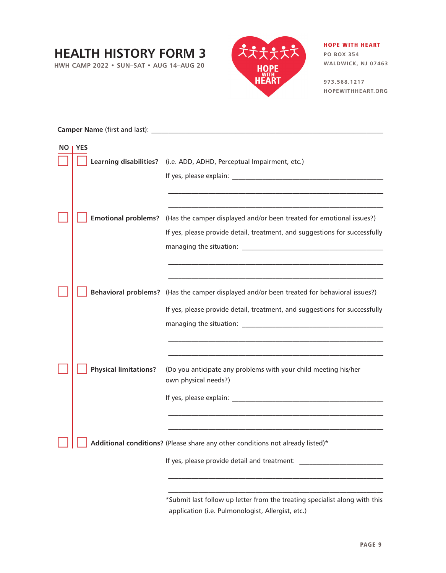## **HEALTH HISTORY FORM 3**

**HWH CAMP 2022 • SUN–SAT • AUG 14–AUG 20**



HOPE WITH HEART **PO BOX 354** 

**WALDWICK, NJ 07463**

**973.568.1217 HOPEWITHHEART.ORG**

| Camper Name (first and last): |                              |                                                                                                                                                                                                                                |  |
|-------------------------------|------------------------------|--------------------------------------------------------------------------------------------------------------------------------------------------------------------------------------------------------------------------------|--|
|                               | NO   YES                     |                                                                                                                                                                                                                                |  |
|                               |                              | Learning disabilities? (i.e. ADD, ADHD, Perceptual Impairment, etc.)                                                                                                                                                           |  |
|                               |                              | If yes, please explain: The same state of the state of the state of the state of the state of the state of the                                                                                                                 |  |
|                               |                              |                                                                                                                                                                                                                                |  |
|                               |                              |                                                                                                                                                                                                                                |  |
|                               | <b>Emotional problems?</b>   | (Has the camper displayed and/or been treated for emotional issues?)                                                                                                                                                           |  |
|                               |                              | If yes, please provide detail, treatment, and suggestions for successfully                                                                                                                                                     |  |
|                               |                              | managing the situation: The state of the state of the state of the state of the state of the state of the state of the state of the state of the state of the state of the state of the state of the state of the state of the |  |
|                               |                              |                                                                                                                                                                                                                                |  |
|                               |                              |                                                                                                                                                                                                                                |  |
|                               |                              | Behavioral problems? (Has the camper displayed and/or been treated for behavioral issues?)                                                                                                                                     |  |
|                               |                              | If yes, please provide detail, treatment, and suggestions for successfully                                                                                                                                                     |  |
|                               |                              |                                                                                                                                                                                                                                |  |
|                               |                              |                                                                                                                                                                                                                                |  |
|                               |                              |                                                                                                                                                                                                                                |  |
|                               | <b>Physical limitations?</b> | (Do you anticipate any problems with your child meeting his/her<br>own physical needs?)                                                                                                                                        |  |
|                               |                              |                                                                                                                                                                                                                                |  |
|                               |                              |                                                                                                                                                                                                                                |  |
|                               |                              |                                                                                                                                                                                                                                |  |
|                               |                              |                                                                                                                                                                                                                                |  |
|                               |                              | Additional conditions? (Please share any other conditions not already listed)*                                                                                                                                                 |  |
|                               |                              | If yes, please provide detail and treatment:                                                                                                                                                                                   |  |
|                               |                              |                                                                                                                                                                                                                                |  |
|                               |                              |                                                                                                                                                                                                                                |  |

\*Submit last follow up letter from the treating specialist along with this application (i.e. Pulmonologist, Allergist, etc.)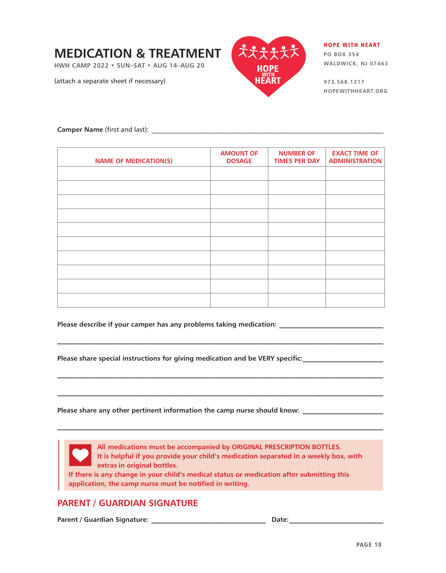## **MEDICATION & TREATMENT**

**HWH CAMP 2022 • SUN–SAT • AUG 14–AUG 20**

(attach a separate sheet if necessary)



#### HOPE WITH HEART

**PO BOX 354 WALDWICK, NJ 07463**

**973.568.1217 HOPEWITHHEART.ORG**

**Camper Name** (first and last): \_\_\_\_\_\_\_\_\_\_\_\_\_\_\_\_\_\_\_\_\_\_\_\_\_\_\_\_\_\_\_\_\_\_\_\_\_\_\_\_\_\_\_\_\_\_\_\_\_\_\_\_\_\_\_\_\_\_\_\_\_\_\_\_\_\_\_\_\_

| <b>NAME OF MEDICATION(S)</b> | <b>AMOUNT OF</b><br><b>DOSAGE</b> | <b>NUMBER OF</b><br><b>TIMES PER DAY</b> | <b>EXACT TIME OF</b><br><b>ADMINISTRATION</b> |
|------------------------------|-----------------------------------|------------------------------------------|-----------------------------------------------|
|                              |                                   |                                          |                                               |
|                              |                                   |                                          |                                               |
|                              |                                   |                                          |                                               |
|                              |                                   |                                          |                                               |
|                              |                                   |                                          |                                               |
|                              |                                   |                                          |                                               |
|                              |                                   |                                          |                                               |
|                              |                                   |                                          |                                               |
|                              |                                   |                                          |                                               |
|                              |                                   |                                          |                                               |

**\_\_\_\_\_\_\_\_\_\_\_\_\_\_\_\_\_\_\_\_\_\_\_\_\_\_\_\_\_\_\_\_\_\_\_\_\_\_\_\_\_\_\_\_\_\_\_\_\_\_\_\_\_\_\_\_\_\_\_\_\_\_\_\_\_\_\_\_\_\_\_\_\_\_\_\_\_\_\_\_\_\_\_\_\_\_\_\_\_\_\_\_\_\_\_\_\_**

**\_\_\_\_\_\_\_\_\_\_\_\_\_\_\_\_\_\_\_\_\_\_\_\_\_\_\_\_\_\_\_\_\_\_\_\_\_\_\_\_\_\_\_\_\_\_\_\_\_\_\_\_\_\_\_\_\_\_\_\_\_\_\_\_\_\_\_\_\_\_\_\_\_\_\_\_\_\_\_\_\_\_\_\_\_\_\_\_\_\_\_\_\_\_\_\_\_**

**\_\_\_\_\_\_\_\_\_\_\_\_\_\_\_\_\_\_\_\_\_\_\_\_\_\_\_\_\_\_\_\_\_\_\_\_\_\_\_\_\_\_\_\_\_\_\_\_\_\_\_\_\_\_\_\_\_\_\_\_\_\_\_\_\_\_\_\_\_\_\_\_\_\_\_\_\_\_\_\_\_\_\_\_\_\_\_\_\_\_\_\_\_\_\_\_\_**

**\_\_\_\_\_\_\_\_\_\_\_\_\_\_\_\_\_\_\_\_\_\_\_\_\_\_\_\_\_\_\_\_\_\_\_\_\_\_\_\_\_\_\_\_\_\_\_\_\_\_\_\_\_\_\_\_\_\_\_\_\_\_\_\_\_\_\_\_\_\_\_\_\_\_\_\_\_\_\_\_\_\_\_\_\_\_\_\_\_\_\_\_\_\_\_\_\_**

**Please describe if your camper has any problems taking medication: \_\_\_\_\_\_\_\_\_\_\_\_\_\_\_\_\_\_\_\_\_\_\_\_\_\_\_\_\_\_\_**

**Please share special instructions for giving medication and be VERY specific:\_\_\_\_\_\_\_\_\_\_\_\_\_\_\_\_\_\_\_\_\_\_\_\_**

**Please share any other pertinent information the camp nurse should know: \_\_\_\_\_\_\_\_\_\_\_\_\_\_\_\_\_\_\_\_\_\_\_\_**

**All medications must be accompanied by ORIGINAL PRESCRIPTION BOTTLES. It is helpful if you provide your child's medication separated in a weekly box, with extras in original bottles. If there is any change in your child's medical status or medication after submitting this application, the camp nurse must be notified in writing.**

#### **PARENT / GUARDIAN SIGNATURE**

**Parent / Guardian Signature: \_\_\_\_\_\_\_\_\_\_\_\_\_\_\_\_\_\_\_\_\_\_\_\_\_\_\_\_\_\_\_\_\_\_ Date:\_\_\_\_\_\_\_\_\_\_\_\_\_\_\_\_\_\_\_\_\_\_\_\_\_\_\_\_**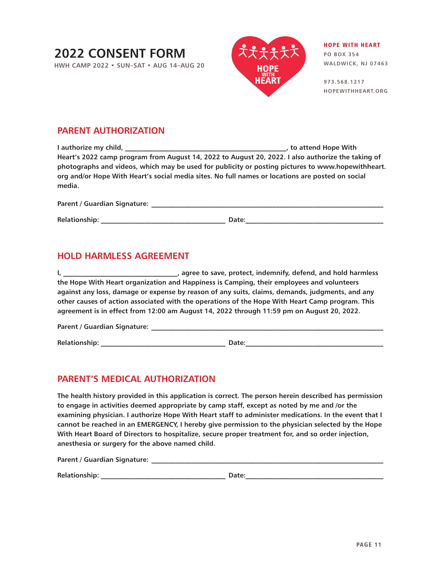## **2022 CONSENT FORM**

**HWH CAMP 2022 • SUN–SAT • AUG 14–AUG 20**



#### HOPE WITH HEART **PO BOX 354**

**WALDWICK, NJ 07463**

**973.568.1217 HOPEWITHHEART.ORG**

### **PARENT AUTHORIZATION**

| I authorize my child,                                                                             | , to attend Hope With |
|---------------------------------------------------------------------------------------------------|-----------------------|
| Heart's 2022 camp program from August 14, 2022 to August 20, 2022. I also authorize the taking of |                       |
| photographs and videos, which may be used for publicity or posting pictures to www.hopewithheart. |                       |
| org and/or Hope With Heart's social media sites. No full names or locations are posted on social  |                       |
| media.                                                                                            |                       |
|                                                                                                   |                       |

| Parent / Guardian Signature: |       |  |
|------------------------------|-------|--|
| <b>Relationship:</b>         | Date: |  |

### **HOLD HARMLESS AGREEMENT**

**I, \_\_\_\_\_\_\_\_\_\_\_\_\_\_\_\_\_\_\_\_\_\_\_\_\_\_\_\_\_\_\_\_\_\_, agree to save, protect, indemnify, defend, and hold harmless the Hope With Heart organization and Happiness is Camping, their employees and volunteers against any loss, damage or expense by reason of any suits, claims, demands, judgments, and any other causes of action associated with the operations of the Hope With Heart Camp program. This agreement is in effect from 12:00 am August 14, 2022 through 11:59 pm on August 20, 2022.**

| Parent / Guardian Signature: |  |
|------------------------------|--|
|                              |  |

**Relationship: \_\_\_\_\_\_\_\_\_\_\_\_\_\_\_\_\_\_\_\_\_\_\_\_\_\_\_\_\_\_\_\_\_\_\_\_\_ Date:\_\_\_\_\_\_\_\_\_\_\_\_\_\_\_\_\_\_\_\_\_\_\_\_\_\_\_\_\_\_\_\_\_\_\_\_\_\_\_\_\_**

### **PARENT'S MEDICAL AUTHORIZATION**

**The health history provided in this application is correct. The person herein described has permission to engage in activities deemed appropriate by camp staff, except as noted by me and /or the examining physician. I authorize Hope With Heart staff to administer medications. In the event that I cannot be reached in an EMERGENCY, I hereby give permission to the physician selected by the Hope With Heart Board of Directors to hospitalize, secure proper treatment for, and so order injection, anesthesia or surgery for the above named child.**

**Parent / Guardian Signature: \_\_\_\_\_\_\_\_\_\_\_\_\_\_\_\_\_\_\_\_\_\_\_\_\_\_\_\_\_\_\_\_\_\_\_\_\_\_\_\_\_\_\_\_\_\_\_\_\_\_\_\_\_\_\_\_\_\_\_\_\_\_\_\_\_\_\_\_\_** 

| <b>Relationship:</b> |  |  |
|----------------------|--|--|
|                      |  |  |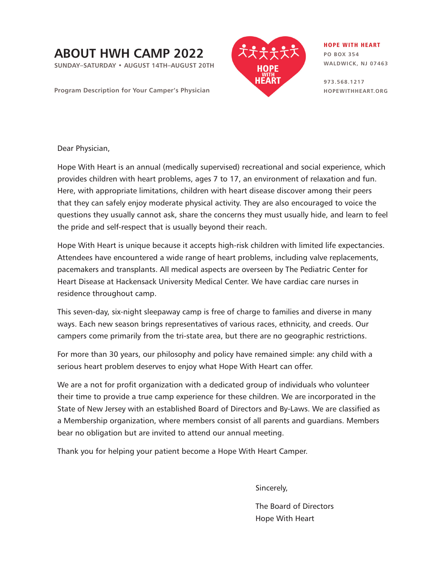# **ABOUT HWH CAMP 2022**

**SUNDAY–SATURDAY • AUGUST 14TH–AUGUST 20TH**

**Program Description for Your Camper's Physician**



HOPE WITH HEART **PO BOX 354 WALDWICK, NJ 07463**

**973.568.1217 HOPEWITHHEART.ORG**

Dear Physician,

Hope With Heart is an annual (medically supervised) recreational and social experience, which provides children with heart problems, ages 7 to 17, an environment of relaxation and fun. Here, with appropriate limitations, children with heart disease discover among their peers that they can safely enjoy moderate physical activity. They are also encouraged to voice the questions they usually cannot ask, share the concerns they must usually hide, and learn to feel the pride and self-respect that is usually beyond their reach.

Hope With Heart is unique because it accepts high-risk children with limited life expectancies. Attendees have encountered a wide range of heart problems, including valve replacements, pacemakers and transplants. All medical aspects are overseen by The Pediatric Center for Heart Disease at Hackensack University Medical Center. We have cardiac care nurses in residence throughout camp.

This seven-day, six-night sleepaway camp is free of charge to families and diverse in many ways. Each new season brings representatives of various races, ethnicity, and creeds. Our campers come primarily from the tri-state area, but there are no geographic restrictions.

For more than 30 years, our philosophy and policy have remained simple: any child with a serious heart problem deserves to enjoy what Hope With Heart can offer.

We are a not for profit organization with a dedicated group of individuals who volunteer their time to provide a true camp experience for these children. We are incorporated in the State of New Jersey with an established Board of Directors and By-Laws. We are classified as a Membership organization, where members consist of all parents and guardians. Members bear no obligation but are invited to attend our annual meeting.

Thank you for helping your patient become a Hope With Heart Camper.

Sincerely,

The Board of Directors Hope With Heart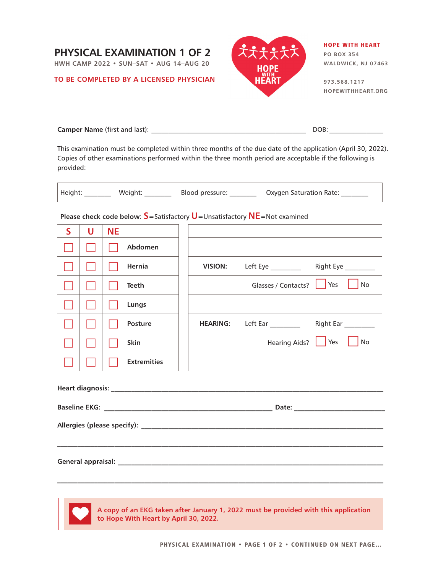

**HWH CAMP 2022 • SUN–SAT • AUG 14–AUG 20**

#### **TO BE COMPLETED BY A LICENSED PHYSICIAN**



#### HOPE WITH HEART **PO BOX 354**

**WALDWICK, NJ 07463**

**973.568.1217 HOPEWITHHEART.ORG**

| <b>Camper Name</b> (first and last): |  |
|--------------------------------------|--|
|--------------------------------------|--|

This examination must be completed within three months of the due date of the application (April 30, 2022). Copies of other examinations performed within the three month period are acceptable if the following is provided:

|                                                                                    |   |           |                    |  |                 | Height: Weight: Blood pressure: 0xygen Saturation Rate: Weight: |                              |
|------------------------------------------------------------------------------------|---|-----------|--------------------|--|-----------------|-----------------------------------------------------------------|------------------------------|
| Please check code below: $S$ = Satisfactory $U$ = Unsatisfactory NE = Not examined |   |           |                    |  |                 |                                                                 |                              |
| S.                                                                                 | U | <b>NE</b> |                    |  |                 |                                                                 |                              |
|                                                                                    |   |           | Abdomen            |  |                 |                                                                 |                              |
|                                                                                    |   |           | Hernia             |  | <b>VISION:</b>  | Left Eye ____________  Right Eye __________                     |                              |
|                                                                                    |   |           | Teeth              |  |                 | Glasses / Contacts?     Yes                                     | l No                         |
|                                                                                    |   |           | Lungs              |  |                 |                                                                 |                              |
|                                                                                    |   |           | <b>Posture</b>     |  | <b>HEARING:</b> | Left Ear _____________  Right Ear __________                    |                              |
|                                                                                    |   |           | <b>Skin</b>        |  |                 |                                                                 | Hearing Aids?     Yes     No |
|                                                                                    |   |           | <b>Extremities</b> |  |                 |                                                                 |                              |
|                                                                                    |   |           |                    |  |                 |                                                                 |                              |
|                                                                                    |   |           |                    |  |                 |                                                                 |                              |
|                                                                                    |   |           |                    |  |                 |                                                                 |                              |
|                                                                                    |   |           |                    |  |                 |                                                                 |                              |
|                                                                                    |   |           |                    |  |                 |                                                                 |                              |
|                                                                                    |   |           |                    |  |                 |                                                                 |                              |



**A copy of an EKG taken after January 1, 2022 must be provided with this application to Hope With Heart by April 30, 2022.**